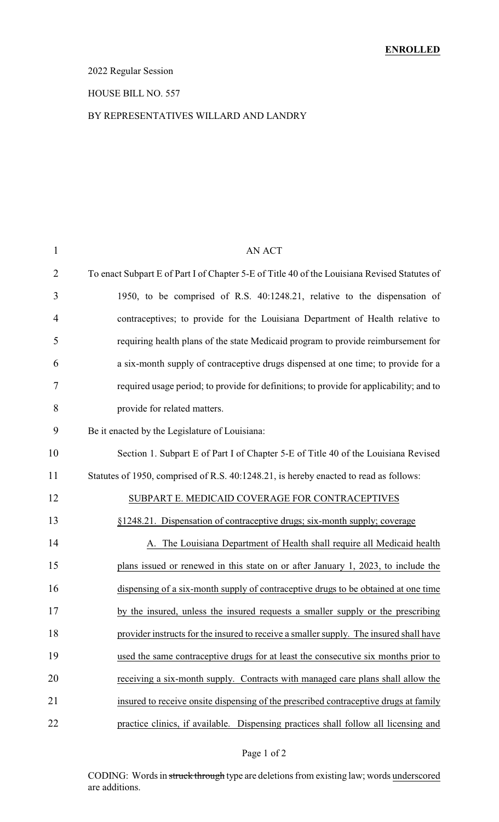### 2022 Regular Session

#### HOUSE BILL NO. 557

#### BY REPRESENTATIVES WILLARD AND LANDRY

| $\mathbf{1}$ | AN ACT                                                                                       |
|--------------|----------------------------------------------------------------------------------------------|
| 2            | To enact Subpart E of Part I of Chapter 5-E of Title 40 of the Louisiana Revised Statutes of |
| 3            | 1950, to be comprised of R.S. 40:1248.21, relative to the dispensation of                    |
| 4            | contraceptives; to provide for the Louisiana Department of Health relative to                |
| 5            | requiring health plans of the state Medicaid program to provide reimbursement for            |
| 6            | a six-month supply of contraceptive drugs dispensed at one time; to provide for a            |
| 7            | required usage period; to provide for definitions; to provide for applicability; and to      |
| 8            | provide for related matters.                                                                 |
| 9            | Be it enacted by the Legislature of Louisiana:                                               |
| 10           | Section 1. Subpart E of Part I of Chapter 5-E of Title 40 of the Louisiana Revised           |
| 11           | Statutes of 1950, comprised of R.S. 40:1248.21, is hereby enacted to read as follows:        |
| 12           | SUBPART E. MEDICAID COVERAGE FOR CONTRACEPTIVES                                              |
| 13           | §1248.21. Dispensation of contraceptive drugs; six-month supply; coverage                    |
| 14           | A. The Louisiana Department of Health shall require all Medicaid health                      |
| 15           | plans issued or renewed in this state on or after January 1, 2023, to include the            |
| 16           | dispensing of a six-month supply of contraceptive drugs to be obtained at one time           |
| 17           | by the insured, unless the insured requests a smaller supply or the prescribing              |
| 18           | provider instructs for the insured to receive a smaller supply. The insured shall have       |
| 19           | used the same contraceptive drugs for at least the consecutive six months prior to           |
| 20           | receiving a six-month supply. Contracts with managed care plans shall allow the              |
| 21           | insured to receive onsite dispensing of the prescribed contraceptive drugs at family         |
| 22           | practice clinics, if available. Dispensing practices shall follow all licensing and          |

### Page 1 of 2

CODING: Words in struck through type are deletions from existing law; words underscored are additions.